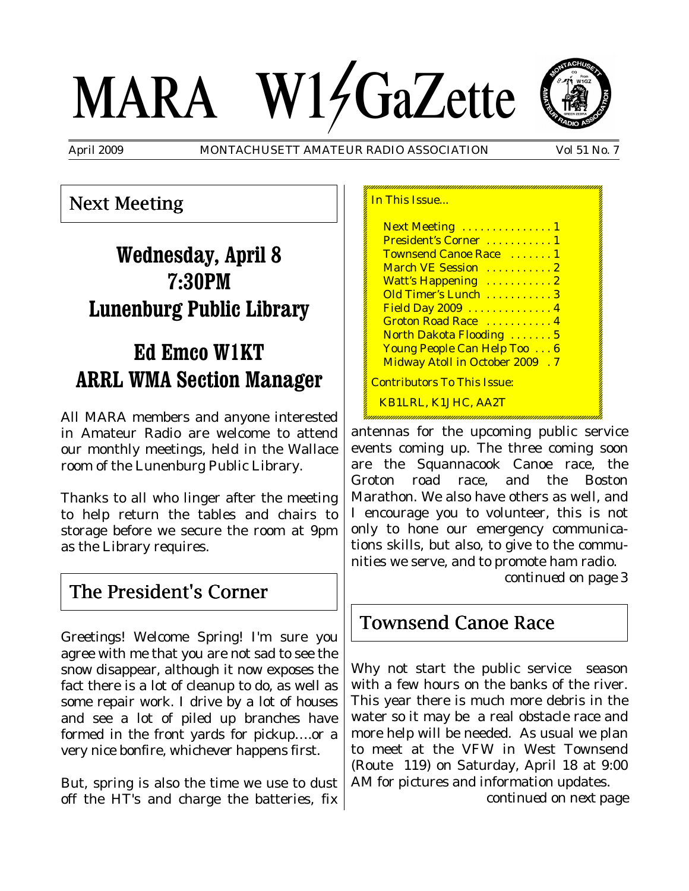# MARA W14GaZette



April 2009 MONTACHUSETT AMATEUR RADIO ASSOCIATION Vol 51 No. 7

## Next Meeting

# **Wednesday, April 8 7:30PM Lunenburg Public Library**

# **Ed Emco W1KT ARRL WMA Section Manager**

All MARA members and anyone interested in Amateur Radio are welcome to attend our monthly meetings, held in the Wallace room of the Lunenburg Public Library.

Thanks to all who linger after the meeting to help return the tables and chairs to storage before we secure the room at 9pm as the Library requires.

## The President's Corner

Greetings! Welcome Spring! I'm sure you agree with me that you are not sad to see the snow disappear, although it now exposes the fact there is a lot of cleanup to do, as well as some repair work. I drive by a lot of houses and see a lot of piled up branches have formed in the front yards for pickup….or a very nice bonfire, whichever happens first.

But, spring is also the time we use to dust off the HT's and charge the batteries, fix

| In This Issue                          |  |
|----------------------------------------|--|
| Next Meeting  1                        |  |
| President's Corner  1                  |  |
| Townsend Canoe Race  1                 |  |
| March VE Session  2                    |  |
| Watt's Happening  2                    |  |
| Old Timer's Lunch  3                   |  |
| Field Day 2009  4                      |  |
| Groton Road Race  4                    |  |
| North Dakota Flooding  5               |  |
| Young People Can Help Too 6            |  |
| <b>Midway Atoll in October 2009 .7</b> |  |
| <u> Contributors To This Issue:</u>    |  |
| KB1LRL, K1JHC, AA2T                    |  |

antennas for the upcoming public service events coming up. The three coming soon are the Squannacook Canoe race, the Groton road race, and the Boston Marathon. We also have others as well, and I encourage you to volunteer, this is not only to hone our emergency communications skills, but also, to give to the communities we serve, and to promote ham radio.

*continued on page* 3

## Townsend Canoe Race

Why not start the public service season with a few hours on the banks of the river. This year there is much more debris in the water so it may be a real obstacle race and more help will be needed. As usual we plan to meet at the VFW in West Townsend (Route 119) on Saturday, April 18 at 9:00 AM for pictures and information updates.

*continued on next page*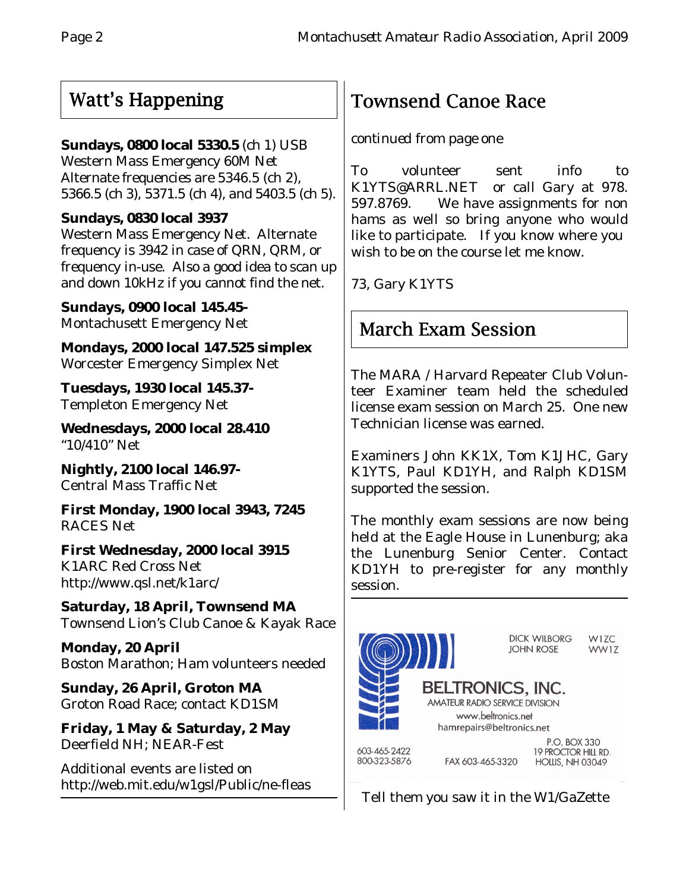## Watt's Happening

## **Sundays, 0800 local 5330.5** (ch 1) USB

Western Mass Emergency 60M Net Alternate frequencies are 5346.5 (ch 2), 5366.5 (ch 3), 5371.5 (ch 4), and 5403.5 (ch 5).

## **Sundays, 0830 local 3937**

Western Mass Emergency Net. Alternate frequency is 3942 in case of QRN, QRM, or frequency in-use. Also a good idea to scan up and down 10kHz if you cannot find the net.

**Sundays, 0900 local 145.45-** Montachusett Emergency Net

**Mondays, 2000 local 147.525 simplex** Worcester Emergency Simplex Net

**Tuesdays, 1930 local 145.37-** Templeton Emergency Net

**Wednesdays, 2000 local 28.410** "10/410" Net

**Nightly, 2100 local 146.97-** Central Mass Traffic Net

**First Monday, 1900 local 3943, 7245** RACES Net

**First Wednesday, 2000 local 3915** K1ARC Red Cross Net http://www.qsl.net/k1arc/

**Saturday, 18 April, Townsend MA** Townsend Lion's Club Canoe & Kayak Race

**Monday, 20 April** Boston Marathon; Ham volunteers needed

**Sunday, 26 April, Groton MA** Groton Road Race; contact KD1SM

**Friday, 1 May & Saturday, 2 May** Deerfield NH; NEAR-Fest

Additional events are listed on http://web.mit.edu/w1gsl/Public/ne-fleas

# Townsend Canoe Race

## *continued from page one*

To volunteer sent info to K1YTS@ARRL.NET or call Gary at 978. 597.8769. We have assignments for non hams as well so bring anyone who would like to participate. If you know where you wish to be on the course let me know.

73, Gary K1YTS

# March Exam Session

The MARA / Harvard Repeater Club Volunteer Examiner team held the scheduled license exam session on March 25. One new Technician license was earned.

Examiners John KK1X, Tom K1JHC, Gary K1YTS, Paul KD1YH, and Ralph KD1SM supported the session.

The monthly exam sessions are now being held at the Eagle House in Lunenburg; aka the Lunenburg Senior Center. Contact KD1YH to pre-register for any monthly session.



Tell them you saw it in the W1/GaZette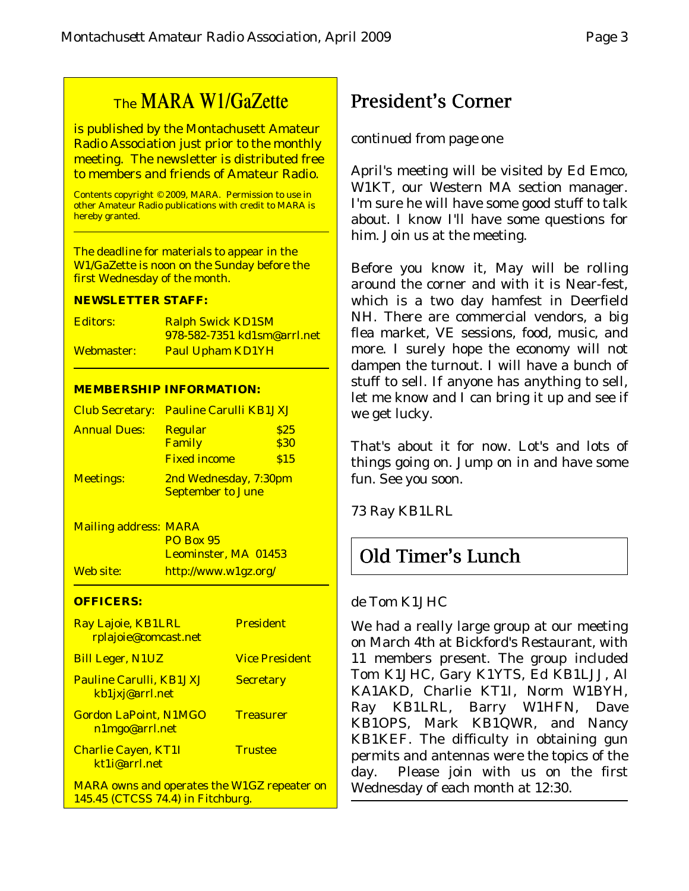# The MARA W1/GaZette

is published by the Montachusett Amateur Radio Association just prior to the monthly meeting. The newsletter is distributed free to members and friends of Amateur Radio.

Contents copyright © 2009, MARA. Permission to use in other Amateur Radio publications with credit to MARA is hereby granted.

The deadline for materials to appear in the W1/GaZette is noon on the Sunday before the first Wednesday of the month.

#### **NEWSLETTER STAFF:**

| Editors:   | <b>Ralph Swick KD1SM</b>           |
|------------|------------------------------------|
|            | <u>978-582-7351 kd1sm@arrl.net</u> |
| Webmaster: | <b>Paul Upham KD1YH</b>            |

#### **MEMBERSHIP INFORMATION:**

|                     | <b>Club Secretary: Pauline Carulli KB1JXJ</b>     |              |  |
|---------------------|---------------------------------------------------|--------------|--|
| <b>Annual Dues:</b> | <b>Regular</b><br>Family                          | \$25<br>\$30 |  |
|                     | <b>Fixed income</b>                               | \$15         |  |
| <b>Meetings:</b>    | 2nd Wednesday, 7:30pm<br><b>September to June</b> |              |  |

Mailing address: MARA PO Box 95 Leominster, MA 01453 Web site: http://www.w1gz.org/

#### **OFFICERS:**

| Ray Lajoie, KB1LRL<br>rplajoie@comcast.net         | <b>President</b>      |
|----------------------------------------------------|-----------------------|
| <b>Bill Leger, N1UZ</b>                            | <b>Vice President</b> |
| <b>Pauline Carulli, KB1JXJ</b><br>kb1jxj@arrl.net  | <b>Secretary</b>      |
| <b>Gordon LaPoint, N1MGO</b><br>n1mgo@arrl.net     | <b>Treasurer</b>      |
| <b>Charlie Cayen, KT1I</b><br>kt1i@arrl.net        | <b>Trustee</b>        |
| <b>MARA</b> owns and operates the W1GZ repeater on |                       |

145.45 (CTCSS 74.4) in Fitchburg.

## President's Corner

## *continued from page one*

April's meeting will be visited by Ed Emco, W1KT, our Western MA section manager. I'm sure he will have some good stuff to talk about. I know I'll have some questions for him. Join us at the meeting.

Before you know it, May will be rolling around the corner and with it is Near-fest, which is a two day hamfest in Deerfield NH. There are commercial vendors, a big flea market, VE sessions, food, music, and more. I surely hope the economy will not dampen the turnout. I will have a bunch of stuff to sell. If anyone has anything to sell, let me know and I can bring it up and see if we get lucky.

That's about it for now. Lot's and lots of things going on. Jump on in and have some fun. See you soon.

73 Ray KB1LRL

## Old Timer's Lunch

### de Tom K1JHC

We had a really large group at our meeting on March 4th at Bickford's Restaurant, with 11 members present. The group included Tom K1JHC, Gary K1YTS, Ed KB1LJJ, Al KA1AKD, Charlie KT1I, Norm W1BYH, Ray KB1LRL, Barry W1HFN, Dave KB1OPS, Mark KB1QWR, and Nancy KB1KEF. The difficulty in obtaining gun permits and antennas were the topics of the day. Please join with us on the first Wednesday of each month at 12:30.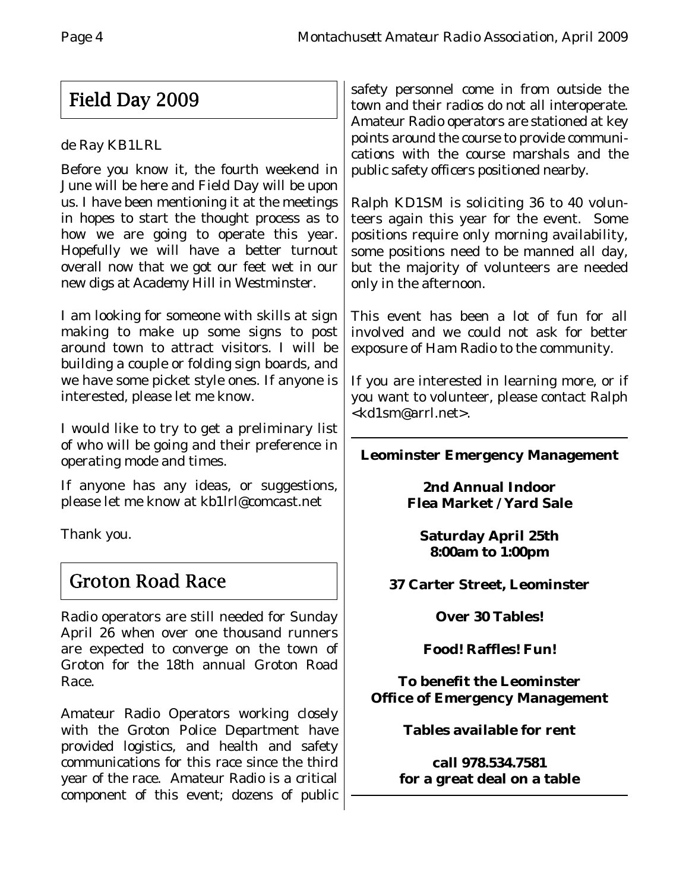# Field Day 2009

## de Ray KB1LRL

Before you know it, the fourth weekend in June will be here and Field Day will be upon us. I have been mentioning it at the meetings in hopes to start the thought process as to how we are going to operate this year. Hopefully we will have a better turnout overall now that we got our feet wet in our new digs at Academy Hill in Westminster.

I am looking for someone with skills at sign making to make up some signs to post around town to attract visitors. I will be building a couple or folding sign boards, and we have some picket style ones. If anyone is interested, please let me know.

I would like to try to get a preliminary list of who will be going and their preference in operating mode and times.

If anyone has any ideas, or suggestions, please let me know at kb1lrl@comcast.net

Thank you.

# Groton Road Race

Radio operators are still needed for Sunday April 26 when over one thousand runners are expected to converge on the town of Groton for the 18th annual Groton Road Race.

Amateur Radio Operators working closely with the Groton Police Department have provided logistics, and health and safety communications for this race since the third year of the race. Amateur Radio is a critical component of this event; dozens of public

safety personnel come in from outside the town and their radios do not all interoperate. Amateur Radio operators are stationed at key points around the course to provide communications with the course marshals and the public safety officers positioned nearby.

Ralph KD1SM is soliciting 36 to 40 volunteers again this year for the event. Some positions require only morning availability, some positions need to be manned all day, but the majority of volunteers are needed only in the afternoon.

This event has been a lot of fun for all involved and we could not ask for better exposure of Ham Radio to the community.

If you are interested in learning more, or if you want to volunteer, please contact Ralph <kd1sm@arrl.net>.

## **Leominster Emergency Management**

**2nd Annual Indoor Flea Market / Yard Sale**

**Saturday April 25th 8:00am to 1:00pm**

**37 Carter Street, Leominster**

**Over 30 Tables!**

**Food! Raffles! Fun!**

**To benefit the Leominster Office of Emergency Management**

**Tables available for rent**

**call 978.534.7581 for a great deal on a table**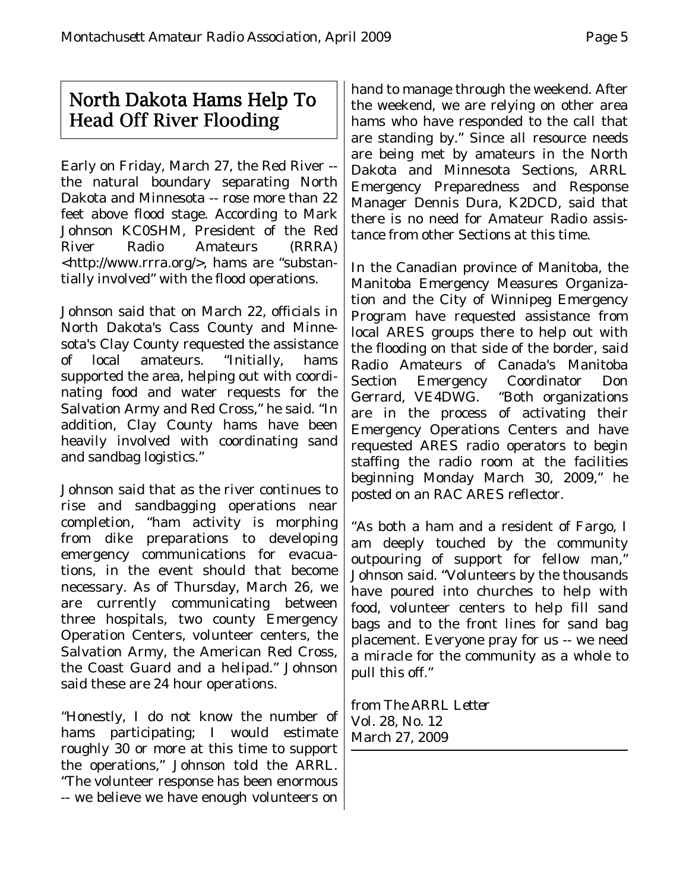## North Dakota Hams Help To Head Off River Flooding

Early on Friday, March 27, the Red River - the natural boundary separating North Dakota and Minnesota -- rose more than 22 feet above flood stage. According to Mark Johnson KC0SHM, President of the Red River Radio Amateurs (RRRA) <http://www.rrra.org/>, hams are "substantially involved" with the flood operations.

Johnson said that on March 22, officials in North Dakota's Cass County and Minnesota's Clay County requested the assistance of local amateurs. "Initially, hams supported the area, helping out with coordinating food and water requests for the Salvation Army and Red Cross," he said. "In addition, Clay County hams have been heavily involved with coordinating sand and sandbag logistics."

Johnson said that as the river continues to rise and sandbagging operations near completion, "ham activity is morphing from dike preparations to developing emergency communications for evacuations, in the event should that become necessary. As of Thursday, March 26, we are currently communicating between three hospitals, two county Emergency Operation Centers, volunteer centers, the Salvation Army, the American Red Cross, the Coast Guard and a helipad." Johnson said these are 24 hour operations.

"Honestly, I do not know the number of hams participating; I would estimate roughly 30 or more at this time to support the operations," Johnson told the ARRL. "The volunteer response has been enormous -- we believe we have enough volunteers on

hand to manage through the weekend. After the weekend, we are relying on other area hams who have responded to the call that are standing by." Since all resource needs are being met by amateurs in the North Dakota and Minnesota Sections, ARRL Emergency Preparedness and Response Manager Dennis Dura, K2DCD, said that there is no need for Amateur Radio assistance from other Sections at this time.

In the Canadian province of Manitoba, the Manitoba Emergency Measures Organization and the City of Winnipeg Emergency Program have requested assistance from local ARES groups there to help out with the flooding on that side of the border, said Radio Amateurs of Canada's Manitoba Section Emergency Coordinator Don Gerrard, VE4DWG. "Both organizations are in the process of activating their Emergency Operations Centers and have requested ARES radio operators to begin staffing the radio room at the facilities beginning Monday March 30, 2009," he posted on an RAC ARES reflector.

"As both a ham and a resident of Fargo, I am deeply touched by the community outpouring of support for fellow man," Johnson said. "Volunteers by the thousands have poured into churches to help with food, volunteer centers to help fill sand bags and to the front lines for sand bag placement. Everyone pray for us -- we need a miracle for the community as a whole to pull this off."

from *The ARRL Letter* Vol. 28, No. 12 March 27, 2009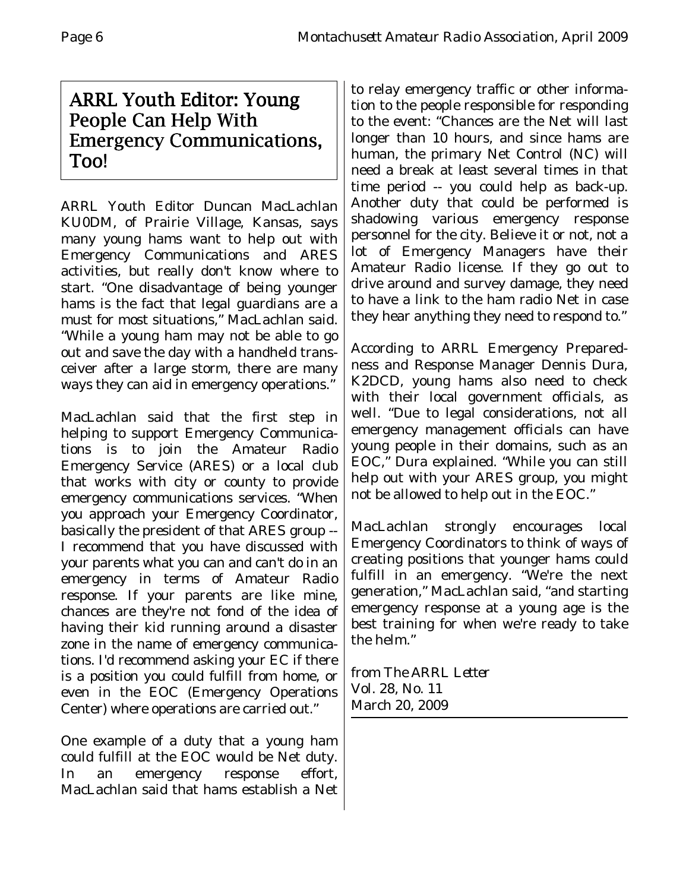## ARRL Youth Editor: Young People Can Help With **Emergency Communications,** Too!

ARRL Youth Editor Duncan MacLachlan KU0DM, of Prairie Village, Kansas, says many young hams want to help out with Emergency Communications and ARES activities, but really don't know where to start. "One disadvantage of being younger hams is the fact that legal guardians are a must for most situations," MacLachlan said. "While a young ham may not be able to go out and save the day with a handheld transceiver after a large storm, there are many ways they can aid in emergency operations."

MacLachlan said that the first step in helping to support Emergency Communications is to join the Amateur Radio Emergency Service (ARES) or a local club that works with city or county to provide emergency communications services. "When you approach your Emergency Coordinator, basically the president of that ARES group -- I recommend that you have discussed with your parents what you can and can't do in an emergency in terms of Amateur Radio response. If your parents are like mine, chances are they're not fond of the idea of having their kid running around a disaster zone in the name of emergency communications. I'd recommend asking your EC if there is a position you could fulfill from home, or even in the EOC (Emergency Operations Center) where operations are carried out."

One example of a duty that a young ham could fulfill at the EOC would be Net duty. In an emergency response effort, MacLachlan said that hams establish a Net

to relay emergency traffic or other information to the people responsible for responding to the event: "Chances are the Net will last longer than 10 hours, and since hams are human, the primary Net Control (NC) will need a break at least several times in that time period -- you could help as back-up. Another duty that could be performed is shadowing various emergency response personnel for the city. Believe it or not, not a lot of Emergency Managers have their Amateur Radio license. If they go out to drive around and survey damage, they need to have a link to the ham radio Net in case they hear anything they need to respond to."

According to ARRL Emergency Preparedness and Response Manager Dennis Dura, K2DCD, young hams also need to check with their local government officials, as well. "Due to legal considerations, not all emergency management officials can have young people in their domains, such as an EOC," Dura explained. "While you can still help out with your ARES group, you might not be allowed to help out in the EOC."

MacLachlan strongly encourages local Emergency Coordinators to think of ways of creating positions that younger hams could fulfill in an emergency. "We're the next generation," MacLachlan said, "and starting emergency response at a young age is the best training for when we're ready to take the helm."

from *The ARRL Letter* Vol. 28, No. 11 March 20, 2009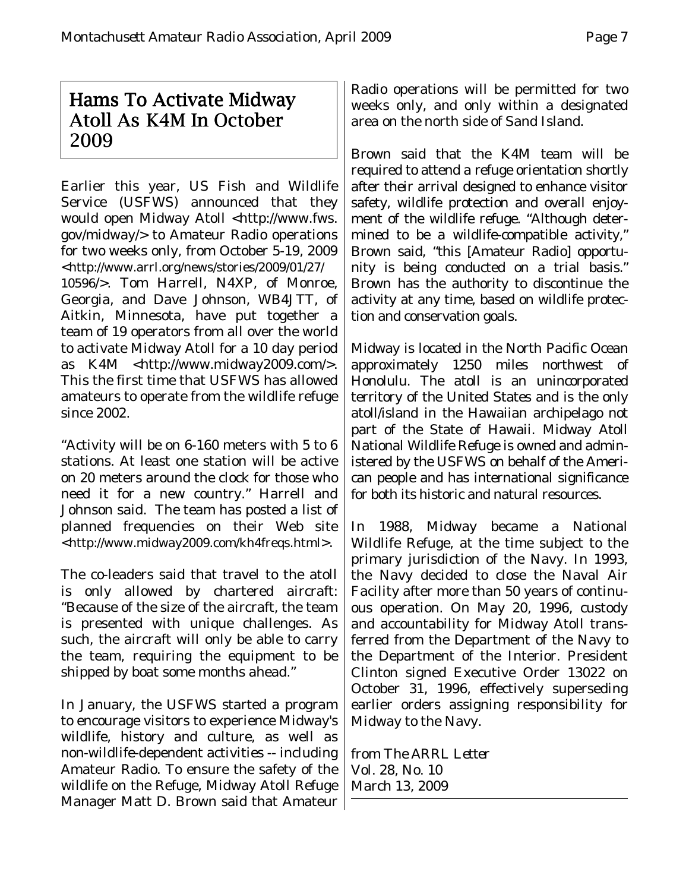## Hams To Activate Midway Atoll As K4M In October 2009

Earlier this year, US Fish and Wildlife Service (USFWS) announced that they would open Midway Atoll <http://www.fws. gov/midway/> to Amateur Radio operations for two weeks only, from October 5-19, 2009 <http://www.arrl.org/news/stories/2009/01/27/ 10596/>. Tom Harrell, N4XP, of Monroe, Georgia, and Dave Johnson, WB4JTT, of Aitkin, Minnesota, have put together a team of 19 operators from all over the world to activate Midway Atoll for a 10 day period as K4M <http://www.midway2009.com/>. This the first time that USFWS has allowed amateurs to operate from the wildlife refuge since 2002.

"Activity will be on 6-160 meters with 5 to 6 stations. At least one station will be active on 20 meters around the clock for those who need it for a new country." Harrell and Johnson said. The team has posted a list of planned frequencies on their Web site <http://www.midway2009.com/kh4freqs.html>.

The co-leaders said that travel to the atoll is only allowed by chartered aircraft: "Because of the size of the aircraft, the team is presented with unique challenges. As such, the aircraft will only be able to carry the team, requiring the equipment to be shipped by boat some months ahead."

In January, the USFWS started a program to encourage visitors to experience Midway's wildlife, history and culture, as well as non-wildlife-dependent activities -- including Amateur Radio. To ensure the safety of the wildlife on the Refuge, Midway Atoll Refuge Manager Matt D. Brown said that Amateur Radio operations will be permitted for two weeks only, and only within a designated area on the north side of Sand Island.

Brown said that the K4M team will be required to attend a refuge orientation shortly after their arrival designed to enhance visitor safety, wildlife protection and overall enjoyment of the wildlife refuge. "Although determined to be a wildlife-compatible activity," Brown said, "this [Amateur Radio] opportunity is being conducted on a trial basis." Brown has the authority to discontinue the activity at any time, based on wildlife protection and conservation goals.

Midway is located in the North Pacific Ocean approximately 1250 miles northwest of Honolulu. The atoll is an unincorporated territory of the United States and is the only atoll/island in the Hawaiian archipelago not part of the State of Hawaii. Midway Atoll National Wildlife Refuge is owned and administered by the USFWS on behalf of the American people and has international significance for both its historic and natural resources.

In 1988, Midway became a National Wildlife Refuge, at the time subject to the primary jurisdiction of the Navy. In 1993, the Navy decided to close the Naval Air Facility after more than 50 years of continuous operation. On May 20, 1996, custody and accountability for Midway Atoll transferred from the Department of the Navy to the Department of the Interior. President Clinton signed Executive Order 13022 on October 31, 1996, effectively superseding earlier orders assigning responsibility for Midway to the Navy.

from *The ARRL Letter* Vol. 28, No. 10 March 13, 2009